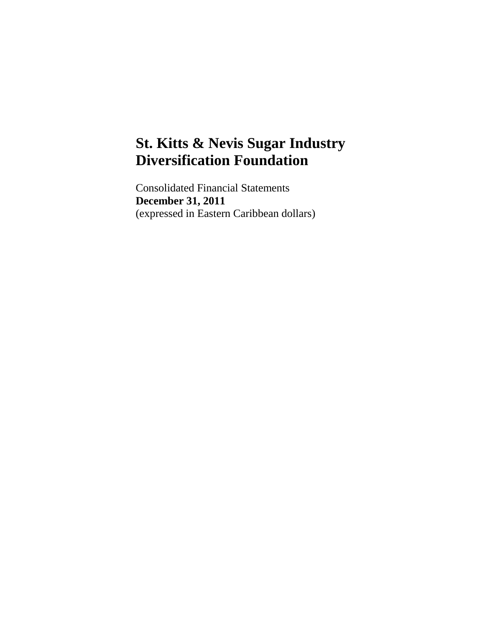Consolidated Financial Statements **December 31, 2011** (expressed in Eastern Caribbean dollars)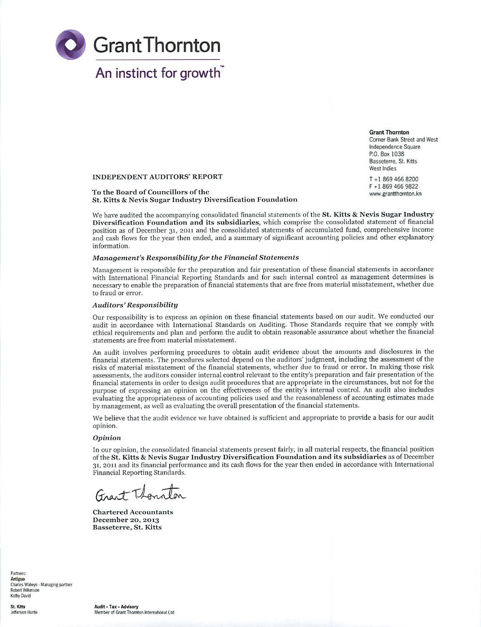

**Grant Thornton** Corner Bank Street and West Independence Square P.O. Box 1038 Basseterre, St. Kitts West Indies

T +1 869 466 8200  $F + 18694669822$ www.grantthornton.kn

#### **INDEPENDENT AUDITORS' REPORT**

#### To the Board of Councillors of the St. Kitts & Nevis Sugar Industry Diversification Foundation

We have audited the accompanying consolidated financial statements of the St. Kitts & Nevis Sugar Industry Diversification Foundation and its subsidiaries, which comprise the consolidated statement of financial position as of December 31, 2011 and the consolidated statements of accumulated fund, comprehensive income and cash flows for the year then ended, and a summary of significant accounting policies and other explanatory information.

#### Management's Responsibility for the Financial Statements

Management is responsible for the preparation and fair presentation of these financial statements in accordance with International Financial Reporting Standards and for such internal control as management determines is necessary to enable the preparation of financial statements that are free from material misstatement, whether due to fraud or error.

#### Auditors' Responsibility

Our responsibility is to express an opinion on these financial statements based on our audit. We conducted our audit in accordance with International Standards on Auditing. Those Standards require that we comply with ethical requirements and plan and perform the audit to obtain reasonable assurance about whether the financial statements are free from material misstatement.

An audit involves performing procedures to obtain audit evidence about the amounts and disclosures in the financial statements. The procedures selected depend on the auditors' judgment, including the assessment of the risks of material misstatement of the financial statements, whether due to fraud or error. In making those risk assessments, the auditors consider internal control relevant to the entity's preparation and fair presentation of the financial statements in order to design audit procedures that are appropriate in the circumstances, but not for the purpose of expressing an opinion on the effectiveness of the entity's internal control. An audit also includes evaluating the appropriateness of accounting policies used and the reasonableness of accounting estimates made by management, as well as evaluating the overall presentation of the financial statements.

We believe that the audit evidence we have obtained is sufficient and appropriate to provide a basis for our audit opinion.

#### Opinion

In our opinion, the consolidated financial statements present fairly, in all material respects, the financial position of the St. Kitts & Nevis Sugar Industry Diversification Foundation and its subsidiaries as of December 31, 2011 and its financial performance and its cash flows for the year then ended in accordance with International Financial Reporting Standards.

Grant Thornton

**Chartered Accountants** December 20, 2013 Basseterre, St. Kitts

Partners: Antigua<br>Charles Walwyn - Managing partner Robert Wilkinson Kathy David

St. Kitts Jefferson Hunte

Audit . Tax . Advisory Member of Grant Thornton International Ltd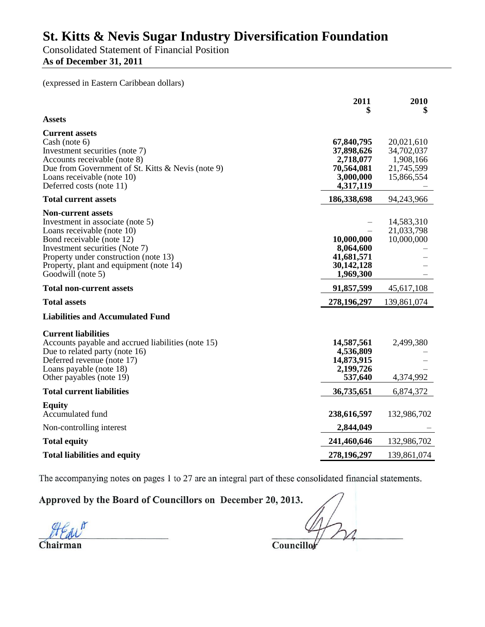Consolidated Statement of Financial Position **As of December 31, 2011**

(expressed in Eastern Caribbean dollars)

|                                                                                                                                                                                                                                                                     | 2011                                                             | 2010                                   |
|---------------------------------------------------------------------------------------------------------------------------------------------------------------------------------------------------------------------------------------------------------------------|------------------------------------------------------------------|----------------------------------------|
| <b>Assets</b>                                                                                                                                                                                                                                                       |                                                                  |                                        |
| <b>Current assets</b><br>Cash (note $6$ )<br>Investment securities (note 7)<br>Accounts receivable (note 8)                                                                                                                                                         | 67,840,795<br>37,898,626<br>2,718,077                            | 20,021,610<br>34,702,037<br>1,908,166  |
| Due from Government of St. Kitts & Nevis (note 9)<br>Loans receivable (note 10)<br>Deferred costs (note 11)                                                                                                                                                         | 70,564,081<br>3,000,000<br>4,317,119                             | 21,745,599<br>15,866,554               |
| <b>Total current assets</b>                                                                                                                                                                                                                                         | 186,338,698                                                      | 94,243,966                             |
| <b>Non-current assets</b><br>Investment in associate (note 5)<br>Loans receivable (note 10)<br>Bond receivable (note 12)<br>Investment securities (Note 7)<br>Property under construction (note 13)<br>Property, plant and equipment (note 14)<br>Goodwill (note 5) | 10,000,000<br>8,064,600<br>41,681,571<br>30,142,128<br>1,969,300 | 14,583,310<br>21,033,798<br>10,000,000 |
| <b>Total non-current assets</b>                                                                                                                                                                                                                                     | 91,857,599                                                       | 45,617,108                             |
| <b>Total assets</b>                                                                                                                                                                                                                                                 | 278,196,297                                                      | 139,861,074                            |
| <b>Liabilities and Accumulated Fund</b>                                                                                                                                                                                                                             |                                                                  |                                        |
| <b>Current liabilities</b><br>Accounts payable and accrued liabilities (note 15)<br>Due to related party (note 16)<br>Deferred revenue (note 17)<br>Loans payable (note 18)<br>Other payables (note 19)                                                             | 14,587,561<br>4,536,809<br>14,873,915<br>2,199,726<br>537,640    | 2,499,380<br>4,374,992                 |
| <b>Total current liabilities</b>                                                                                                                                                                                                                                    | 36,735,651                                                       | 6,874,372                              |
| <b>Equity</b><br>Accumulated fund                                                                                                                                                                                                                                   | 238,616,597                                                      | 132,986,702                            |
| Non-controlling interest                                                                                                                                                                                                                                            | 2,844,049                                                        |                                        |
| <b>Total equity</b>                                                                                                                                                                                                                                                 | 241,460,646                                                      | 132,986,702                            |
| <b>Total liabilities and equity</b>                                                                                                                                                                                                                                 | 278,196,297                                                      | 139,861,074                            |

The accompanying notes on pages 1 to 27 are an integral part of these consolidated financial statements.

Approved by the Board of Councillors on December 20, 2013.

Chairman

 $\mathcal{H}_{\lambda}$ Councillor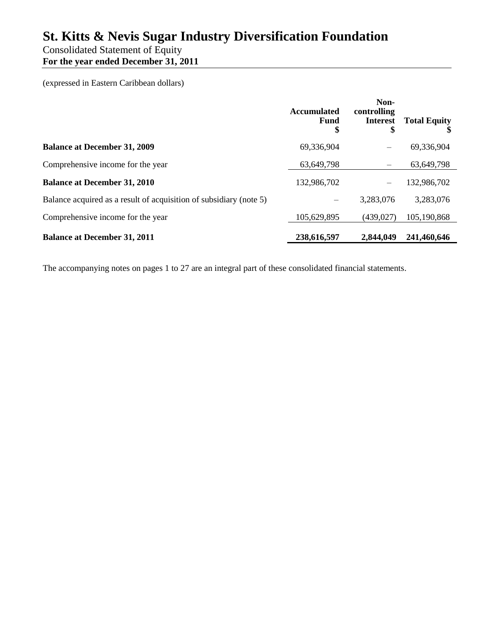### Consolidated Statement of Equity

**For the year ended December 31, 2011**

### (expressed in Eastern Caribbean dollars)

|                                                                    | <b>Accumulated</b><br>Fund<br>\$ | Non-<br>controlling<br><b>Interest</b> | <b>Total Equity</b> |
|--------------------------------------------------------------------|----------------------------------|----------------------------------------|---------------------|
| <b>Balance at December 31, 2009</b>                                | 69,336,904                       | —                                      | 69,336,904          |
| Comprehensive income for the year                                  | 63,649,798                       |                                        | 63,649,798          |
| <b>Balance at December 31, 2010</b>                                | 132,986,702                      | -                                      | 132,986,702         |
| Balance acquired as a result of acquisition of subsidiary (note 5) |                                  | 3,283,076                              | 3,283,076           |
| Comprehensive income for the year                                  | 105,629,895                      | (439, 027)                             | 105,190,868         |
| <b>Balance at December 31, 2011</b>                                | 238,616,597                      | 2,844,049                              | 241,460,646         |

The accompanying notes on pages 1 to 27 are an integral part of these consolidated financial statements.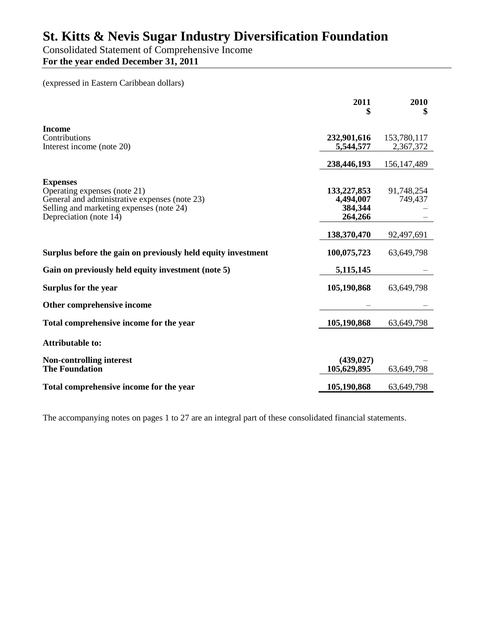Consolidated Statement of Comprehensive Income **For the year ended December 31, 2011**

# (expressed in Eastern Caribbean dollars)

|                                                                                           | 2011<br>\$                 | 2010<br>\$               |
|-------------------------------------------------------------------------------------------|----------------------------|--------------------------|
| <b>Income</b>                                                                             |                            |                          |
| Contributions<br>Interest income (note 20)                                                | 232,901,616<br>5,544,577   | 153,780,117<br>2,367,372 |
|                                                                                           | 238,446,193                | 156, 147, 489            |
| <b>Expenses</b>                                                                           |                            |                          |
| Operating expenses (note 21)                                                              | 133, 227, 853<br>4,494,007 | 91,748,254<br>749,437    |
| General and administrative expenses (note 23)<br>Selling and marketing expenses (note 24) | 384,344                    |                          |
| Depreciation (note 14)                                                                    | 264,266                    |                          |
|                                                                                           | 138,370,470                | 92,497,691               |
| Surplus before the gain on previously held equity investment                              | 100,075,723                | 63,649,798               |
| Gain on previously held equity investment (note 5)                                        | 5, 115, 145                |                          |
| Surplus for the year                                                                      | 105,190,868                | 63,649,798               |
| Other comprehensive income                                                                |                            |                          |
| Total comprehensive income for the year                                                   | 105,190,868                | 63,649,798               |
| <b>Attributable to:</b>                                                                   |                            |                          |
| <b>Non-controlling interest</b>                                                           | (439, 027)                 |                          |
| <b>The Foundation</b>                                                                     | 105,629,895                | 63,649,798               |
| Total comprehensive income for the year                                                   | 105,190,868                | 63,649,798               |

The accompanying notes on pages 1 to 27 are an integral part of these consolidated financial statements.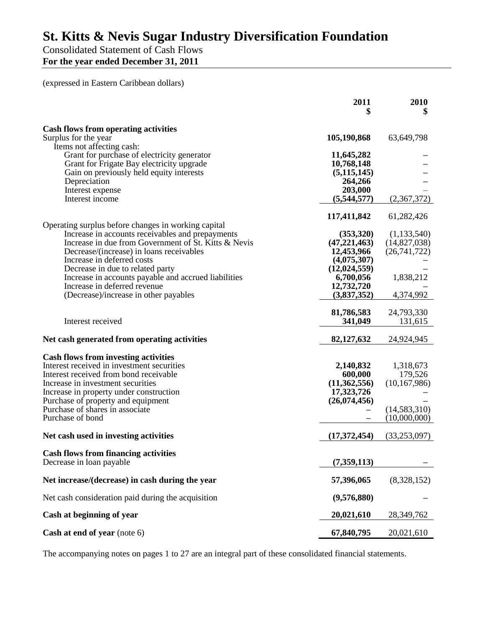### Consolidated Statement of Cash Flows

**For the year ended December 31, 2011**

(expressed in Eastern Caribbean dollars)

|                                                                                                          | 2011                        | 2010                          |
|----------------------------------------------------------------------------------------------------------|-----------------------------|-------------------------------|
|                                                                                                          |                             |                               |
| <b>Cash flows from operating activities</b>                                                              |                             |                               |
| Surplus for the year<br>Items not affecting cash:                                                        | 105,190,868                 | 63,649,798                    |
| Grant for purchase of electricity generator                                                              | 11,645,282                  |                               |
| Grant for Frigate Bay electricity upgrade                                                                | 10,768,148                  |                               |
| Gain on previously held equity interests                                                                 | (5, 115, 145)               |                               |
| Depreciation<br>Interest expense                                                                         | 264,266<br>203,000          |                               |
| Interest income                                                                                          | (5,544,577)                 | (2,367,372)                   |
|                                                                                                          |                             |                               |
|                                                                                                          | 117,411,842                 | 61,282,426                    |
| Operating surplus before changes in working capital                                                      |                             |                               |
| Increase in accounts receivables and prepayments<br>Increase in due from Government of St. Kitts & Nevis | (353,320)<br>(47, 221, 463) | (1, 133, 540)<br>(14,827,038) |
| Decrease/(increase) in loans receivables                                                                 | 12,453,966                  | (26,741,722)                  |
| Increase in deferred costs                                                                               | (4,075,307)                 |                               |
| Decrease in due to related party                                                                         | (12, 024, 559)              |                               |
| Increase in accounts payable and accrued liabilities<br>Increase in deferred revenue                     | 6,700,056<br>12,732,720     | 1,838,212                     |
| (Decrease)/increase in other payables                                                                    | (3,837,352)                 | 4,374,992                     |
|                                                                                                          |                             |                               |
|                                                                                                          | 81,786,583                  | 24,793,330                    |
| Interest received                                                                                        | 341,049                     | 131,615                       |
| Net cash generated from operating activities                                                             | 82, 127, 632                | 24,924,945                    |
| <b>Cash flows from investing activities</b>                                                              |                             |                               |
| Interest received in investment securities                                                               | 2,140,832                   | 1,318,673                     |
| Interest received from bond receivable                                                                   | 600,000                     | 179,526                       |
| Increase in investment securities                                                                        | (11,362,556)                | (10, 167, 986)                |
| Increase in property under construction                                                                  | 17,323,726                  |                               |
| Purchase of property and equipment<br>Purchase of shares in associate                                    | (26,074,456)                | (14,583,310)                  |
| Purchase of bond                                                                                         | $\qquad \qquad -$           | (10,000,000)                  |
|                                                                                                          |                             |                               |
| Net cash used in investing activities                                                                    | (17,372,454)                | (33,253,097)                  |
| <b>Cash flows from financing activities</b>                                                              |                             |                               |
| Decrease in loan payable                                                                                 | (7,359,113)                 |                               |
|                                                                                                          |                             |                               |
| Net increase/(decrease) in cash during the year                                                          | 57,396,065                  | (8,328,152)                   |
| Net cash consideration paid during the acquisition                                                       | (9,576,880)                 |                               |
| Cash at beginning of year                                                                                | 20,021,610                  | 28,349,762                    |
| Cash at end of year (note 6)                                                                             | 67,840,795                  | 20,021,610                    |

The accompanying notes on pages 1 to 27 are an integral part of these consolidated financial statements.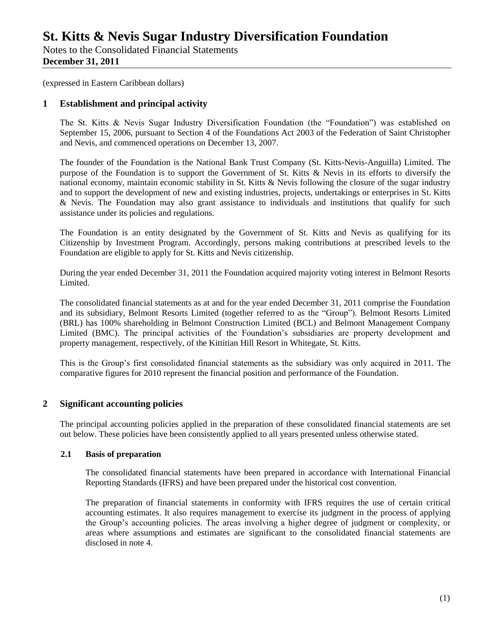Notes to the Consolidated Financial Statements **December 31, 2011**

(expressed in Eastern Caribbean dollars)

### **1 Establishment and principal activity**

The St. Kitts & Nevis Sugar Industry Diversification Foundation (the "Foundation") was established on September 15, 2006, pursuant to Section 4 of the Foundations Act 2003 of the Federation of Saint Christopher and Nevis, and commenced operations on December 13, 2007.

The founder of the Foundation is the National Bank Trust Company (St. Kitts-Nevis-Anguilla) Limited. The purpose of the Foundation is to support the Government of St. Kitts & Nevis in its efforts to diversify the national economy, maintain economic stability in St. Kitts & Nevis following the closure of the sugar industry and to support the development of new and existing industries, projects, undertakings or enterprises in St. Kitts & Nevis. The Foundation may also grant assistance to individuals and institutions that qualify for such assistance under its policies and regulations.

The Foundation is an entity designated by the Government of St. Kitts and Nevis as qualifying for its Citizenship by Investment Program. Accordingly, persons making contributions at prescribed levels to the Foundation are eligible to apply for St. Kitts and Nevis citizenship.

During the year ended December 31, 2011 the Foundation acquired majority voting interest in Belmont Resorts Limited.

The consolidated financial statements as at and for the year ended December 31, 2011 comprise the Foundation and its subsidiary, Belmont Resorts Limited (together referred to as the "Group"). Belmont Resorts Limited (BRL) has 100% shareholding in Belmont Construction Limited (BCL) and Belmont Management Company Limited (BMC). The principal activities of the Foundation's subsidiaries are property development and property management, respectively, of the Kittitian Hill Resort in Whitegate, St. Kitts.

This is the Group's first consolidated financial statements as the subsidiary was only acquired in 2011. The comparative figures for 2010 represent the financial position and performance of the Foundation.

#### **2 Significant accounting policies**

The principal accounting policies applied in the preparation of these consolidated financial statements are set out below. These policies have been consistently applied to all years presented unless otherwise stated.

#### **2.1 Basis of preparation**

The consolidated financial statements have been prepared in accordance with International Financial Reporting Standards (IFRS) and have been prepared under the historical cost convention.

The preparation of financial statements in conformity with IFRS requires the use of certain critical accounting estimates. It also requires management to exercise its judgment in the process of applying the Group's accounting policies. The areas involving a higher degree of judgment or complexity, or areas where assumptions and estimates are significant to the consolidated financial statements are disclosed in note 4.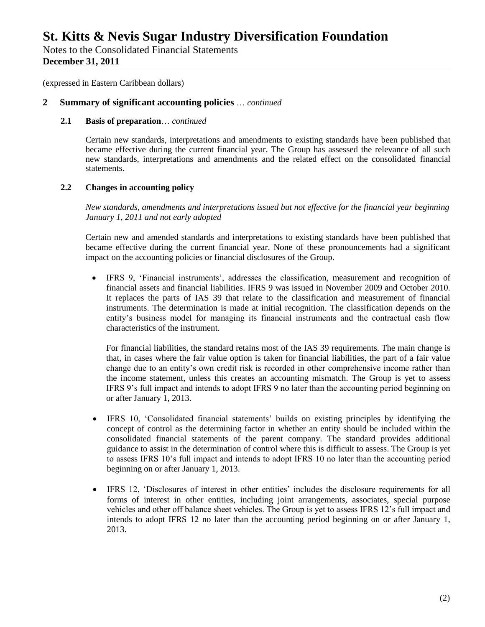Notes to the Consolidated Financial Statements **December 31, 2011**

(expressed in Eastern Caribbean dollars)

#### **2 Summary of significant accounting policies** … *continued*

#### **2.1 Basis of preparation**… *continued*

Certain new standards, interpretations and amendments to existing standards have been published that became effective during the current financial year. The Group has assessed the relevance of all such new standards, interpretations and amendments and the related effect on the consolidated financial statements.

#### **2.2 Changes in accounting policy**

*New standards, amendments and interpretations issued but not effective for the financial year beginning January 1, 2011 and not early adopted*

Certain new and amended standards and interpretations to existing standards have been published that became effective during the current financial year. None of these pronouncements had a significant impact on the accounting policies or financial disclosures of the Group.

 IFRS 9, 'Financial instruments', addresses the classification, measurement and recognition of financial assets and financial liabilities. IFRS 9 was issued in November 2009 and October 2010. It replaces the parts of IAS 39 that relate to the classification and measurement of financial instruments. The determination is made at initial recognition. The classification depends on the entity's business model for managing its financial instruments and the contractual cash flow characteristics of the instrument.

For financial liabilities, the standard retains most of the IAS 39 requirements. The main change is that, in cases where the fair value option is taken for financial liabilities, the part of a fair value change due to an entity's own credit risk is recorded in other comprehensive income rather than the income statement, unless this creates an accounting mismatch. The Group is yet to assess IFRS 9's full impact and intends to adopt IFRS 9 no later than the accounting period beginning on or after January 1, 2013.

- IFRS 10, 'Consolidated financial statements' builds on existing principles by identifying the concept of control as the determining factor in whether an entity should be included within the consolidated financial statements of the parent company. The standard provides additional guidance to assist in the determination of control where this is difficult to assess. The Group is yet to assess IFRS 10's full impact and intends to adopt IFRS 10 no later than the accounting period beginning on or after January 1, 2013.
- IFRS 12, 'Disclosures of interest in other entities' includes the disclosure requirements for all forms of interest in other entities, including joint arrangements, associates, special purpose vehicles and other off balance sheet vehicles. The Group is yet to assess IFRS 12's full impact and intends to adopt IFRS 12 no later than the accounting period beginning on or after January 1, 2013.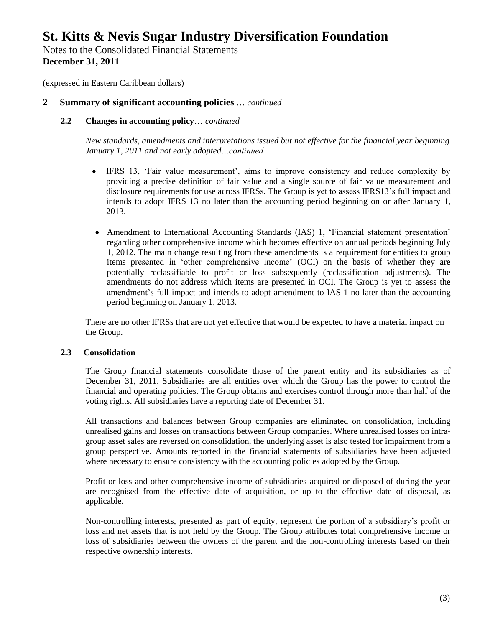Notes to the Consolidated Financial Statements **December 31, 2011**

(expressed in Eastern Caribbean dollars)

#### **2 Summary of significant accounting policies** … *continued*

#### **2.2 Changes in accounting policy**… *continued*

*New standards, amendments and interpretations issued but not effective for the financial year beginning January 1, 2011 and not early adopted…continued*

- IFRS 13, 'Fair value measurement', aims to improve consistency and reduce complexity by providing a precise definition of fair value and a single source of fair value measurement and disclosure requirements for use across IFRSs. The Group is yet to assess IFRS13's full impact and intends to adopt IFRS 13 no later than the accounting period beginning on or after January 1, 2013.
- Amendment to International Accounting Standards (IAS) 1, 'Financial statement presentation' regarding other comprehensive income which becomes effective on annual periods beginning July 1, 2012. The main change resulting from these amendments is a requirement for entities to group items presented in 'other comprehensive income' (OCI) on the basis of whether they are potentially reclassifiable to profit or loss subsequently (reclassification adjustments). The amendments do not address which items are presented in OCI. The Group is yet to assess the amendment's full impact and intends to adopt amendment to IAS 1 no later than the accounting period beginning on January 1, 2013.

There are no other IFRSs that are not yet effective that would be expected to have a material impact on the Group.

#### **2.3 Consolidation**

The Group financial statements consolidate those of the parent entity and its subsidiaries as of December 31, 2011. Subsidiaries are all entities over which the Group has the power to control the financial and operating policies. The Group obtains and exercises control through more than half of the voting rights. All subsidiaries have a reporting date of December 31.

All transactions and balances between Group companies are eliminated on consolidation, including unrealised gains and losses on transactions between Group companies. Where unrealised losses on intragroup asset sales are reversed on consolidation, the underlying asset is also tested for impairment from a group perspective. Amounts reported in the financial statements of subsidiaries have been adjusted where necessary to ensure consistency with the accounting policies adopted by the Group.

Profit or loss and other comprehensive income of subsidiaries acquired or disposed of during the year are recognised from the effective date of acquisition, or up to the effective date of disposal, as applicable.

Non-controlling interests, presented as part of equity, represent the portion of a subsidiary's profit or loss and net assets that is not held by the Group. The Group attributes total comprehensive income or loss of subsidiaries between the owners of the parent and the non-controlling interests based on their respective ownership interests.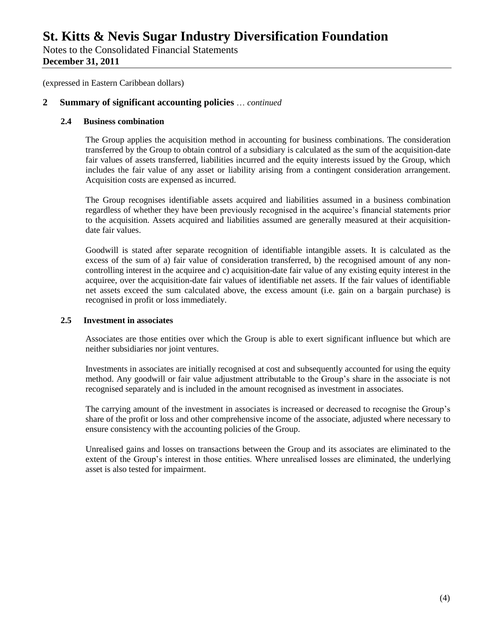Notes to the Consolidated Financial Statements **December 31, 2011**

(expressed in Eastern Caribbean dollars)

#### **2 Summary of significant accounting policies** … *continued*

#### **2.4 Business combination**

The Group applies the acquisition method in accounting for business combinations. The consideration transferred by the Group to obtain control of a subsidiary is calculated as the sum of the acquisition-date fair values of assets transferred, liabilities incurred and the equity interests issued by the Group, which includes the fair value of any asset or liability arising from a contingent consideration arrangement. Acquisition costs are expensed as incurred.

The Group recognises identifiable assets acquired and liabilities assumed in a business combination regardless of whether they have been previously recognised in the acquiree's financial statements prior to the acquisition. Assets acquired and liabilities assumed are generally measured at their acquisitiondate fair values.

Goodwill is stated after separate recognition of identifiable intangible assets. It is calculated as the excess of the sum of a) fair value of consideration transferred, b) the recognised amount of any noncontrolling interest in the acquiree and c) acquisition-date fair value of any existing equity interest in the acquiree, over the acquisition-date fair values of identifiable net assets. If the fair values of identifiable net assets exceed the sum calculated above, the excess amount (i.e. gain on a bargain purchase) is recognised in profit or loss immediately.

#### **2.5 Investment in associates**

Associates are those entities over which the Group is able to exert significant influence but which are neither subsidiaries nor joint ventures.

Investments in associates are initially recognised at cost and subsequently accounted for using the equity method. Any goodwill or fair value adjustment attributable to the Group's share in the associate is not recognised separately and is included in the amount recognised as investment in associates.

The carrying amount of the investment in associates is increased or decreased to recognise the Group's share of the profit or loss and other comprehensive income of the associate, adjusted where necessary to ensure consistency with the accounting policies of the Group.

Unrealised gains and losses on transactions between the Group and its associates are eliminated to the extent of the Group's interest in those entities. Where unrealised losses are eliminated, the underlying asset is also tested for impairment.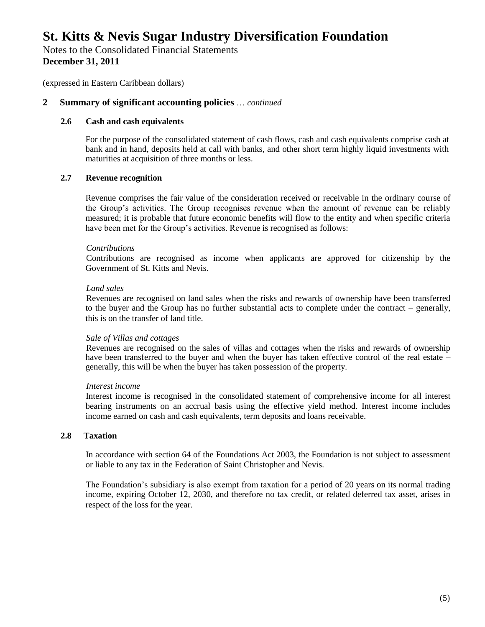Notes to the Consolidated Financial Statements **December 31, 2011**

(expressed in Eastern Caribbean dollars)

#### **2 Summary of significant accounting policies** … *continued*

#### **2.6 Cash and cash equivalents**

For the purpose of the consolidated statement of cash flows, cash and cash equivalents comprise cash at bank and in hand, deposits held at call with banks, and other short term highly liquid investments with maturities at acquisition of three months or less.

#### **2.7 Revenue recognition**

Revenue comprises the fair value of the consideration received or receivable in the ordinary course of the Group's activities. The Group recognises revenue when the amount of revenue can be reliably measured; it is probable that future economic benefits will flow to the entity and when specific criteria have been met for the Group's activities. Revenue is recognised as follows:

#### *Contributions*

Contributions are recognised as income when applicants are approved for citizenship by the Government of St. Kitts and Nevis.

#### *Land sales*

Revenues are recognised on land sales when the risks and rewards of ownership have been transferred to the buyer and the Group has no further substantial acts to complete under the contract – generally, this is on the transfer of land title.

#### *Sale of Villas and cottages*

Revenues are recognised on the sales of villas and cottages when the risks and rewards of ownership have been transferred to the buyer and when the buyer has taken effective control of the real estate – generally, this will be when the buyer has taken possession of the property.

#### *Interest income*

Interest income is recognised in the consolidated statement of comprehensive income for all interest bearing instruments on an accrual basis using the effective yield method. Interest income includes income earned on cash and cash equivalents, term deposits and loans receivable.

#### **2.8 Taxation**

In accordance with section 64 of the Foundations Act 2003, the Foundation is not subject to assessment or liable to any tax in the Federation of Saint Christopher and Nevis.

The Foundation's subsidiary is also exempt from taxation for a period of 20 years on its normal trading income, expiring October 12, 2030, and therefore no tax credit, or related deferred tax asset, arises in respect of the loss for the year.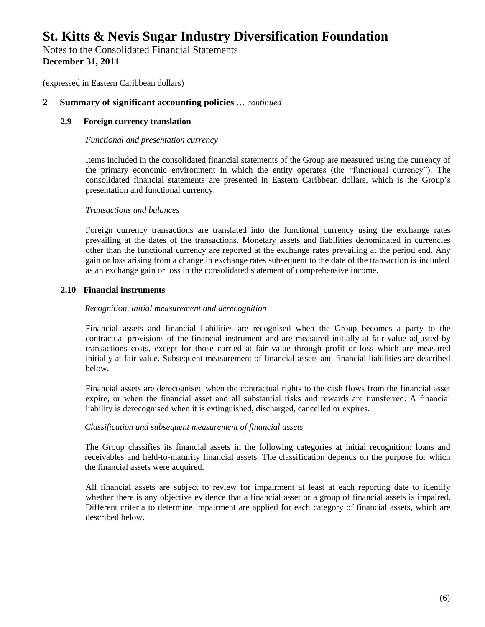Notes to the Consolidated Financial Statements **December 31, 2011**

(expressed in Eastern Caribbean dollars)

#### **2 Summary of significant accounting policies** … *continued*

#### **2.9 Foreign currency translation**

#### *Functional and presentation currency*

Items included in the consolidated financial statements of the Group are measured using the currency of the primary economic environment in which the entity operates (the "functional currency"). The consolidated financial statements are presented in Eastern Caribbean dollars, which is the Group's presentation and functional currency.

#### *Transactions and balances*

Foreign currency transactions are translated into the functional currency using the exchange rates prevailing at the dates of the transactions. Monetary assets and liabilities denominated in currencies other than the functional currency are reported at the exchange rates prevailing at the period end. Any gain or loss arising from a change in exchange rates subsequent to the date of the transaction is included as an exchange gain or loss in the consolidated statement of comprehensive income.

#### **2.10 Financial instruments**

#### *Recognition, initial measurement and derecognition*

Financial assets and financial liabilities are recognised when the Group becomes a party to the contractual provisions of the financial instrument and are measured initially at fair value adjusted by transactions costs, except for those carried at fair value through profit or loss which are measured initially at fair value. Subsequent measurement of financial assets and financial liabilities are described below.

Financial assets are derecognised when the contractual rights to the cash flows from the financial asset expire, or when the financial asset and all substantial risks and rewards are transferred. A financial liability is derecognised when it is extinguished, discharged, cancelled or expires.

#### *Classification and subsequent measurement of financial assets*

The Group classifies its financial assets in the following categories at initial recognition: loans and receivables and held-to-maturity financial assets. The classification depends on the purpose for which the financial assets were acquired.

All financial assets are subject to review for impairment at least at each reporting date to identify whether there is any objective evidence that a financial asset or a group of financial assets is impaired. Different criteria to determine impairment are applied for each category of financial assets, which are described below.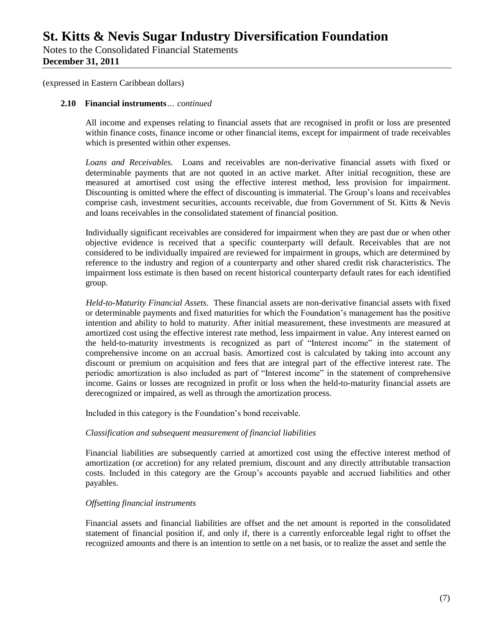Notes to the Consolidated Financial Statements **December 31, 2011**

(expressed in Eastern Caribbean dollars)

#### **2.10 Financial instruments***… continued*

All income and expenses relating to financial assets that are recognised in profit or loss are presented within finance costs, finance income or other financial items, except for impairment of trade receivables which is presented within other expenses.

*Loans and Receivables.* Loans and receivables are non-derivative financial assets with fixed or determinable payments that are not quoted in an active market. After initial recognition, these are measured at amortised cost using the effective interest method, less provision for impairment. Discounting is omitted where the effect of discounting is immaterial. The Group's loans and receivables comprise cash, investment securities, accounts receivable, due from Government of St. Kitts & Nevis and loans receivables in the consolidated statement of financial position.

Individually significant receivables are considered for impairment when they are past due or when other objective evidence is received that a specific counterparty will default. Receivables that are not considered to be individually impaired are reviewed for impairment in groups, which are determined by reference to the industry and region of a counterparty and other shared credit risk characteristics. The impairment loss estimate is then based on recent historical counterparty default rates for each identified group.

*Held-to-Maturity Financial Assets*. These financial assets are non-derivative financial assets with fixed or determinable payments and fixed maturities for which the Foundation's management has the positive intention and ability to hold to maturity. After initial measurement, these investments are measured at amortized cost using the effective interest rate method, less impairment in value. Any interest earned on the held-to-maturity investments is recognized as part of "Interest income" in the statement of comprehensive income on an accrual basis. Amortized cost is calculated by taking into account any discount or premium on acquisition and fees that are integral part of the effective interest rate. The periodic amortization is also included as part of "Interest income" in the statement of comprehensive income. Gains or losses are recognized in profit or loss when the held-to-maturity financial assets are derecognized or impaired, as well as through the amortization process.

Included in this category is the Foundation's bond receivable.

#### *Classification and subsequent measurement of financial liabilities*

Financial liabilities are subsequently carried at amortized cost using the effective interest method of amortization (or accretion) for any related premium, discount and any directly attributable transaction costs. Included in this category are the Group's accounts payable and accrued liabilities and other payables.

#### *Offsetting financial instruments*

Financial assets and financial liabilities are offset and the net amount is reported in the consolidated statement of financial position if, and only if, there is a currently enforceable legal right to offset the recognized amounts and there is an intention to settle on a net basis, or to realize the asset and settle the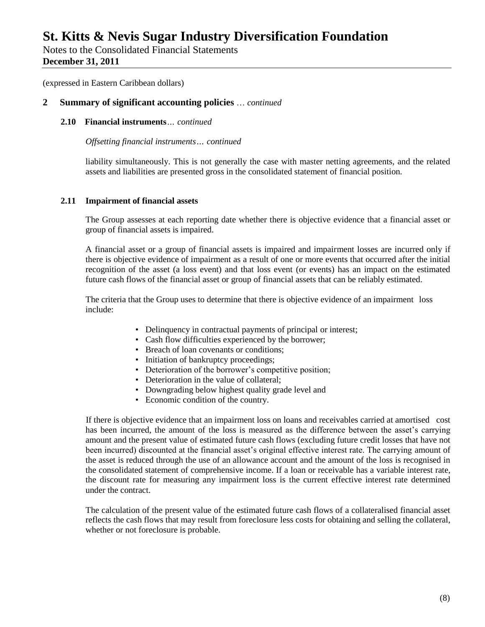Notes to the Consolidated Financial Statements **December 31, 2011**

(expressed in Eastern Caribbean dollars)

#### **2 Summary of significant accounting policies** … *continued*

#### **2.10 Financial instruments***… continued*

*Offsetting financial instruments… continued*

liability simultaneously. This is not generally the case with master netting agreements, and the related assets and liabilities are presented gross in the consolidated statement of financial position.

#### **2.11 Impairment of financial assets**

The Group assesses at each reporting date whether there is objective evidence that a financial asset or group of financial assets is impaired.

A financial asset or a group of financial assets is impaired and impairment losses are incurred only if there is objective evidence of impairment as a result of one or more events that occurred after the initial recognition of the asset (a loss event) and that loss event (or events) has an impact on the estimated future cash flows of the financial asset or group of financial assets that can be reliably estimated.

The criteria that the Group uses to determine that there is objective evidence of an impairment loss include:

- Delinquency in contractual payments of principal or interest;
- Cash flow difficulties experienced by the borrower;
- Breach of loan covenants or conditions:
- Initiation of bankruptcy proceedings;
- Deterioration of the borrower's competitive position;
- Deterioration in the value of collateral;
- Downgrading below highest quality grade level and
- Economic condition of the country.

If there is objective evidence that an impairment loss on loans and receivables carried at amortised cost has been incurred, the amount of the loss is measured as the difference between the asset's carrying amount and the present value of estimated future cash flows (excluding future credit losses that have not been incurred) discounted at the financial asset's original effective interest rate. The carrying amount of the asset is reduced through the use of an allowance account and the amount of the loss is recognised in the consolidated statement of comprehensive income. If a loan or receivable has a variable interest rate, the discount rate for measuring any impairment loss is the current effective interest rate determined under the contract.

The calculation of the present value of the estimated future cash flows of a collateralised financial asset reflects the cash flows that may result from foreclosure less costs for obtaining and selling the collateral, whether or not foreclosure is probable.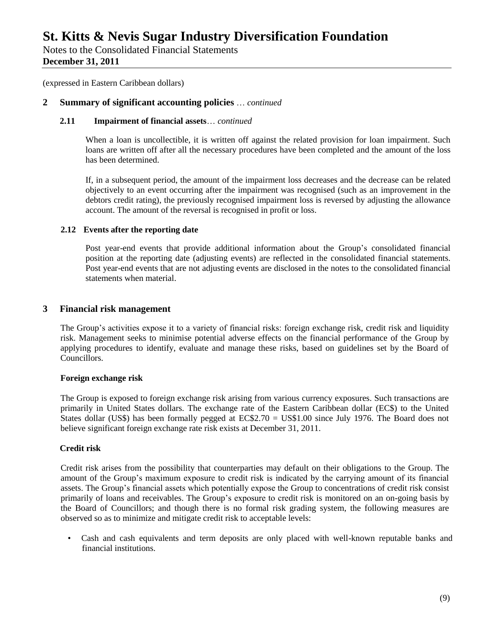Notes to the Consolidated Financial Statements **December 31, 2011**

(expressed in Eastern Caribbean dollars)

#### **2 Summary of significant accounting policies** … *continued*

#### **2.11 Impairment of financial assets**… *continued*

When a loan is uncollectible, it is written off against the related provision for loan impairment. Such loans are written off after all the necessary procedures have been completed and the amount of the loss has been determined.

If, in a subsequent period, the amount of the impairment loss decreases and the decrease can be related objectively to an event occurring after the impairment was recognised (such as an improvement in the debtors credit rating), the previously recognised impairment loss is reversed by adjusting the allowance account. The amount of the reversal is recognised in profit or loss.

#### **2.12 Events after the reporting date**

Post year-end events that provide additional information about the Group's consolidated financial position at the reporting date (adjusting events) are reflected in the consolidated financial statements. Post year-end events that are not adjusting events are disclosed in the notes to the consolidated financial statements when material.

#### **3 Financial risk management**

The Group's activities expose it to a variety of financial risks: foreign exchange risk, credit risk and liquidity risk. Management seeks to minimise potential adverse effects on the financial performance of the Group by applying procedures to identify, evaluate and manage these risks, based on guidelines set by the Board of Councillors.

#### **Foreign exchange risk**

The Group is exposed to foreign exchange risk arising from various currency exposures. Such transactions are primarily in United States dollars. The exchange rate of the Eastern Caribbean dollar (EC\$) to the United States dollar (US\$) has been formally pegged at EC\$2.70 = US\$1.00 since July 1976. The Board does not believe significant foreign exchange rate risk exists at December 31, 2011.

#### **Credit risk**

Credit risk arises from the possibility that counterparties may default on their obligations to the Group. The amount of the Group's maximum exposure to credit risk is indicated by the carrying amount of its financial assets. The Group's financial assets which potentially expose the Group to concentrations of credit risk consist primarily of loans and receivables. The Group's exposure to credit risk is monitored on an on-going basis by the Board of Councillors; and though there is no formal risk grading system, the following measures are observed so as to minimize and mitigate credit risk to acceptable levels:

• Cash and cash equivalents and term deposits are only placed with well-known reputable banks and financial institutions.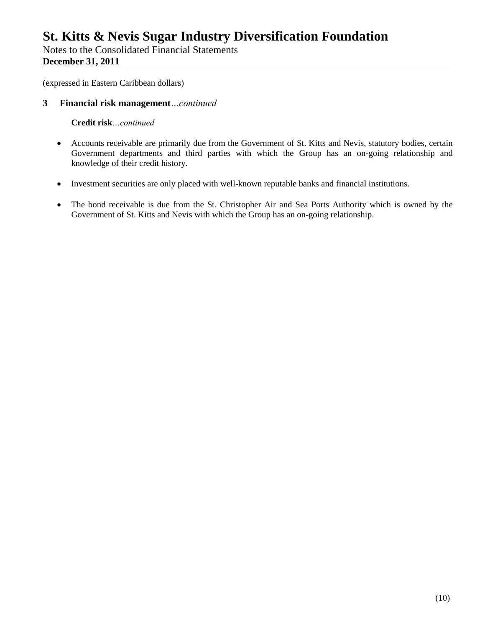Notes to the Consolidated Financial Statements **December 31, 2011**

(expressed in Eastern Caribbean dollars)

### **3 Financial risk management***…continued*

**Credit risk***…continued*

- Accounts receivable are primarily due from the Government of St. Kitts and Nevis, statutory bodies, certain Government departments and third parties with which the Group has an on-going relationship and knowledge of their credit history.
- Investment securities are only placed with well-known reputable banks and financial institutions.
- The bond receivable is due from the St. Christopher Air and Sea Ports Authority which is owned by the Government of St. Kitts and Nevis with which the Group has an on-going relationship.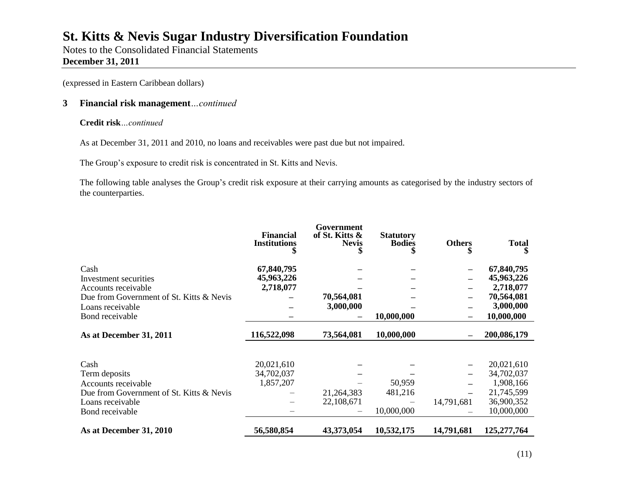Notes to the Consolidated Financial Statements **December 31, 2011**

(expressed in Eastern Caribbean dollars)

### **3 Financial risk management***…continued*

#### **Credit risk***…continued*

As at December 31, 2011 and 2010, no loans and receivables were past due but not impaired.

The Group's exposure to credit risk is concentrated in St. Kitts and Nevis.

The following table analyses the Group's credit risk exposure at their carrying amounts as categorised by the industry sectors of the counterparties.

|                                          | Financial<br><b>Institutions</b> | Government<br>of St. Kitts &<br><b>Nevis</b> | <b>Statutory</b><br><b>Bodies</b> | <b>Others</b> | <b>Total</b> |
|------------------------------------------|----------------------------------|----------------------------------------------|-----------------------------------|---------------|--------------|
| Cash                                     | 67,840,795                       |                                              |                                   |               | 67,840,795   |
| Investment securities                    | 45,963,226                       |                                              |                                   |               | 45,963,226   |
| Accounts receivable                      | 2,718,077                        |                                              |                                   |               | 2,718,077    |
| Due from Government of St. Kitts & Nevis |                                  | 70,564,081                                   |                                   |               | 70,564,081   |
| Loans receivable                         |                                  | 3,000,000                                    |                                   |               | 3,000,000    |
| Bond receivable                          |                                  |                                              | 10,000,000                        |               | 10,000,000   |
| As at December 31, 2011                  | 116,522,098                      | 73,564,081                                   | 10,000,000                        |               | 200,086,179  |
|                                          |                                  |                                              |                                   |               |              |
| Cash                                     | 20,021,610                       |                                              |                                   |               | 20,021,610   |
| Term deposits                            | 34,702,037                       |                                              |                                   |               | 34,702,037   |
| Accounts receivable                      | 1,857,207                        |                                              | 50,959                            |               | 1,908,166    |
| Due from Government of St. Kitts & Nevis |                                  | 21,264,383                                   | 481,216                           | -             | 21,745,599   |
| Loans receivable                         |                                  | 22,108,671                                   |                                   | 14,791,681    | 36,900,352   |
| Bond receivable                          |                                  |                                              | 10,000,000                        |               | 10,000,000   |
| As at December 31, 2010                  | 56,580,854                       | 43,373,054                                   | 10,532,175                        | 14,791,681    | 125,277,764  |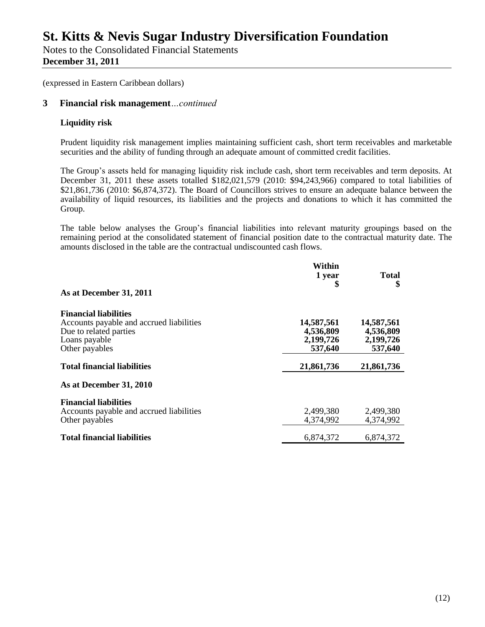Notes to the Consolidated Financial Statements **December 31, 2011**

(expressed in Eastern Caribbean dollars)

#### **3 Financial risk management***…continued*

#### **Liquidity risk**

Prudent liquidity risk management implies maintaining sufficient cash, short term receivables and marketable securities and the ability of funding through an adequate amount of committed credit facilities.

The Group's assets held for managing liquidity risk include cash, short term receivables and term deposits. At December 31, 2011 these assets totalled \$182,021,579 (2010: \$94,243,966) compared to total liabilities of \$21,861,736 (2010: \$6,874,372). The Board of Councillors strives to ensure an adequate balance between the availability of liquid resources, its liabilities and the projects and donations to which it has committed the Group.

The table below analyses the Group's financial liabilities into relevant maturity groupings based on the remaining period at the consolidated statement of financial position date to the contractual maturity date. The amounts disclosed in the table are the contractual undiscounted cash flows.

|                                                                                                                                       | Within<br>1 year                                | Total<br>\$                                     |
|---------------------------------------------------------------------------------------------------------------------------------------|-------------------------------------------------|-------------------------------------------------|
| As at December 31, 2011                                                                                                               |                                                 |                                                 |
| <b>Financial liabilities</b><br>Accounts payable and accrued liabilities<br>Due to related parties<br>Loans payable<br>Other payables | 14,587,561<br>4,536,809<br>2,199,726<br>537,640 | 14,587,561<br>4,536,809<br>2,199,726<br>537,640 |
| <b>Total financial liabilities</b>                                                                                                    | 21,861,736                                      | 21,861,736                                      |
| As at December 31, 2010                                                                                                               |                                                 |                                                 |
| <b>Financial liabilities</b><br>Accounts payable and accrued liabilities<br>Other payables                                            | 2,499,380<br>4,374,992                          | 2,499,380<br>4,374,992                          |
| <b>Total financial liabilities</b>                                                                                                    | 6,874,372                                       | 6.874.372                                       |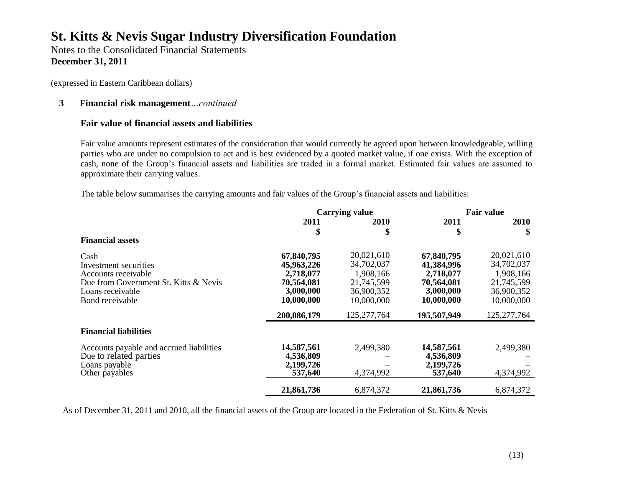Notes to the Consolidated Financial Statements **December 31, 2011**

(expressed in Eastern Caribbean dollars)

### **3 Financial risk management***…continued*

### **Fair value of financial assets and liabilities**

Fair value amounts represent estimates of the consideration that would currently be agreed upon between knowledgeable, willing parties who are under no compulsion to act and is best evidenced by a quoted market value, if one exists. With the exception of cash, none of the Group's financial assets and liabilities are traded in a formal market. Estimated fair values are assumed to approximate their carrying values.

The table below summarises the carrying amounts and fair values of the Group's financial assets and liabilities:

|                                          | <b>Carrying value</b> |             |             | <b>Fair value</b> |
|------------------------------------------|-----------------------|-------------|-------------|-------------------|
|                                          | 2011                  | <b>2010</b> | 2011        | 2010              |
|                                          | \$                    | \$          | \$          | \$                |
| <b>Financial assets</b>                  |                       |             |             |                   |
| Cash                                     | 67,840,795            | 20,021,610  | 67,840,795  | 20,021,610        |
| Investment securities                    | 45,963,226            | 34,702,037  | 41,384,996  | 34,702,037        |
| Accounts receivable                      | 2,718,077             | 1,908,166   | 2,718,077   | 1,908,166         |
| Due from Government St. Kitts & Nevis    | 70,564,081            | 21,745,599  | 70,564,081  | 21,745,599        |
| Loans receivable                         | 3,000,000             | 36,900,352  | 3,000,000   | 36,900,352        |
| Bond receivable                          | 10,000,000            | 10,000,000  | 10,000,000  | 10,000,000        |
|                                          | 200,086,179           | 125,277,764 | 195,507,949 | 125,277,764       |
| <b>Financial liabilities</b>             |                       |             |             |                   |
| Accounts payable and accrued liabilities | 14,587,561            | 2,499,380   | 14,587,561  | 2,499,380         |
| Due to related parties                   | 4,536,809             |             | 4,536,809   |                   |
| Loans payable                            | 2,199,726             |             | 2,199,726   |                   |
| Other payables                           | 537,640               | 4,374,992   | 537,640     | 4,374,992         |
|                                          | 21,861,736            | 6,874,372   | 21,861,736  | 6,874,372         |

As of December 31, 2011 and 2010, all the financial assets of the Group are located in the Federation of St. Kitts & Nevis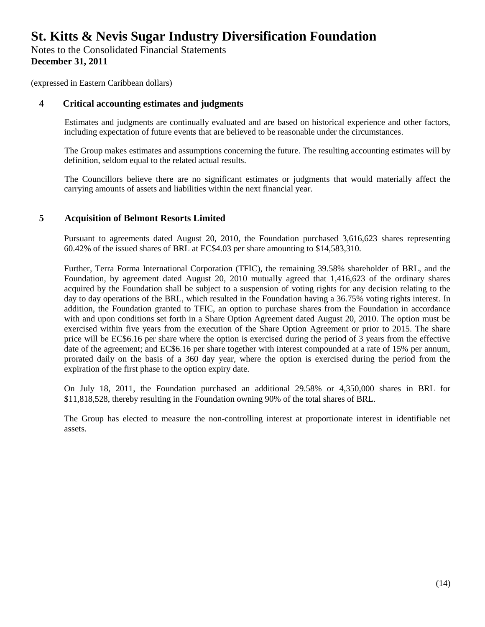Notes to the Consolidated Financial Statements **December 31, 2011**

(expressed in Eastern Caribbean dollars)

#### **4 Critical accounting estimates and judgments**

Estimates and judgments are continually evaluated and are based on historical experience and other factors, including expectation of future events that are believed to be reasonable under the circumstances.

The Group makes estimates and assumptions concerning the future. The resulting accounting estimates will by definition, seldom equal to the related actual results.

The Councillors believe there are no significant estimates or judgments that would materially affect the carrying amounts of assets and liabilities within the next financial year.

#### **5 Acquisition of Belmont Resorts Limited**

Pursuant to agreements dated August 20, 2010, the Foundation purchased 3,616,623 shares representing 60.42% of the issued shares of BRL at EC\$4.03 per share amounting to \$14,583,310.

Further, Terra Forma International Corporation (TFIC), the remaining 39.58% shareholder of BRL, and the Foundation, by agreement dated August 20, 2010 mutually agreed that 1,416,623 of the ordinary shares acquired by the Foundation shall be subject to a suspension of voting rights for any decision relating to the day to day operations of the BRL, which resulted in the Foundation having a 36.75% voting rights interest. In addition, the Foundation granted to TFIC, an option to purchase shares from the Foundation in accordance with and upon conditions set forth in a Share Option Agreement dated August 20, 2010. The option must be exercised within five years from the execution of the Share Option Agreement or prior to 2015. The share price will be EC\$6.16 per share where the option is exercised during the period of 3 years from the effective date of the agreement; and EC\$6.16 per share together with interest compounded at a rate of 15% per annum, prorated daily on the basis of a 360 day year, where the option is exercised during the period from the expiration of the first phase to the option expiry date.

On July 18, 2011, the Foundation purchased an additional 29.58% or 4,350,000 shares in BRL for \$11,818,528, thereby resulting in the Foundation owning 90% of the total shares of BRL.

The Group has elected to measure the non-controlling interest at proportionate interest in identifiable net assets.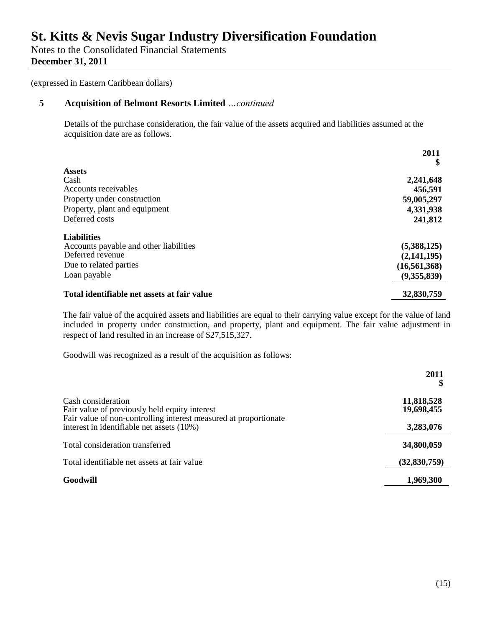Notes to the Consolidated Financial Statements **December 31, 2011**

(expressed in Eastern Caribbean dollars)

#### **5 Acquisition of Belmont Resorts Limited** *…continued*

Details of the purchase consideration, the fair value of the assets acquired and liabilities assumed at the acquisition date are as follows.

|                                             | 2011<br>\$     |
|---------------------------------------------|----------------|
| <b>Assets</b>                               |                |
| Cash                                        | 2,241,648      |
| Accounts receivables                        | 456,591        |
| Property under construction                 | 59,005,297     |
| Property, plant and equipment               | 4,331,938      |
| Deferred costs                              | 241,812        |
| <b>Liabilities</b>                          |                |
| Accounts payable and other liabilities      | (5,388,125)    |
| Deferred revenue                            | (2,141,195)    |
| Due to related parties                      | (16, 561, 368) |
| Loan payable                                | (9,355,839)    |
| Total identifiable net assets at fair value | 32,830,759     |

The fair value of the acquired assets and liabilities are equal to their carrying value except for the value of land included in property under construction, and property, plant and equipment. The fair value adjustment in respect of land resulted in an increase of \$27,515,327.

Goodwill was recognized as a result of the acquisition as follows:

|                                                                                                                                         | 2011                     |
|-----------------------------------------------------------------------------------------------------------------------------------------|--------------------------|
| Cash consideration<br>Fair value of previously held equity interest<br>Fair value of non-controlling interest measured at proportionate | 11,818,528<br>19,698,455 |
| interest in identifiable net assets (10%)                                                                                               | 3,283,076                |
| Total consideration transferred                                                                                                         | 34,800,059               |
| Total identifiable net assets at fair value                                                                                             | (32, 830, 759)           |
| Goodwill                                                                                                                                | 1,969,300                |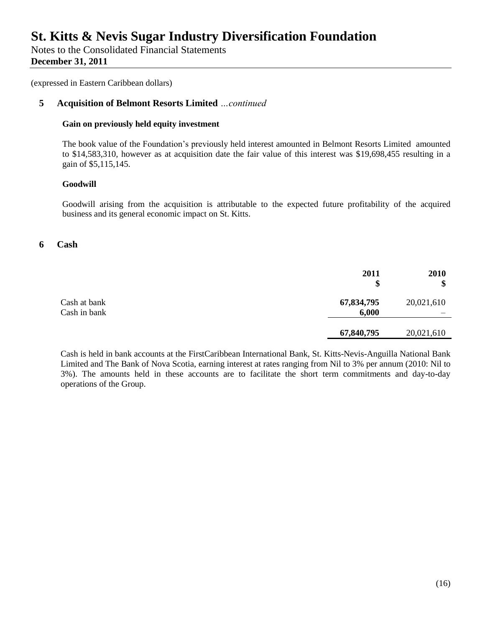Notes to the Consolidated Financial Statements **December 31, 2011**

(expressed in Eastern Caribbean dollars)

#### **5 Acquisition of Belmont Resorts Limited** *…continued*

#### **Gain on previously held equity investment**

The book value of the Foundation's previously held interest amounted in Belmont Resorts Limited amounted to \$14,583,310, however as at acquisition date the fair value of this interest was \$19,698,455 resulting in a gain of \$5,115,145.

#### **Goodwill**

Goodwill arising from the acquisition is attributable to the expected future profitability of the acquired business and its general economic impact on St. Kitts.

#### **6 Cash**

|                              | 2011<br>\$          | 2010<br>\$      |
|------------------------------|---------------------|-----------------|
| Cash at bank<br>Cash in bank | 67,834,795<br>6,000 | 20,021,610<br>- |
|                              | 67,840,795          | 20,021,610      |

Cash is held in bank accounts at the FirstCaribbean International Bank, St. Kitts-Nevis-Anguilla National Bank Limited and The Bank of Nova Scotia, earning interest at rates ranging from Nil to 3% per annum (2010: Nil to 3%). The amounts held in these accounts are to facilitate the short term commitments and day-to-day operations of the Group.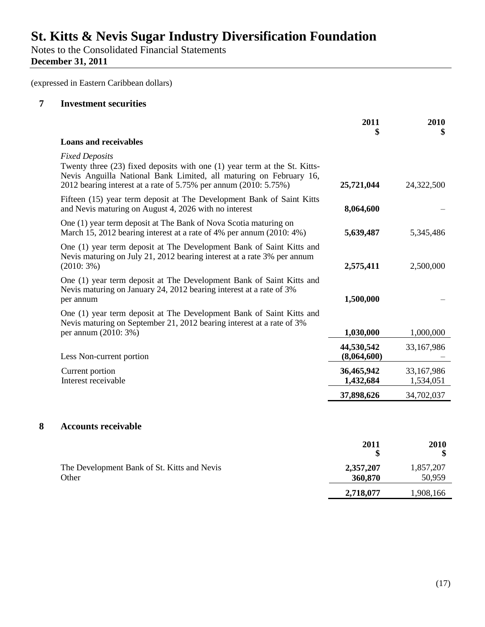Notes to the Consolidated Financial Statements **December 31, 2011**

(expressed in Eastern Caribbean dollars)

### **7 Investment securities**

|                                                                                                                                                                                                                                              | 2011                      | 2010<br>\$              |
|----------------------------------------------------------------------------------------------------------------------------------------------------------------------------------------------------------------------------------------------|---------------------------|-------------------------|
| <b>Loans and receivables</b>                                                                                                                                                                                                                 |                           |                         |
| <b>Fixed Deposits</b><br>Twenty three (23) fixed deposits with one (1) year term at the St. Kitts-<br>Nevis Anguilla National Bank Limited, all maturing on February 16,<br>2012 bearing interest at a rate of 5.75% per annum (2010: 5.75%) | 25,721,044                | 24,322,500              |
| Fifteen (15) year term deposit at The Development Bank of Saint Kitts<br>and Nevis maturing on August 4, 2026 with no interest                                                                                                               | 8,064,600                 |                         |
| One (1) year term deposit at The Bank of Nova Scotia maturing on<br>March 15, 2012 bearing interest at a rate of 4% per annum (2010: 4%)                                                                                                     | 5,639,487                 | 5,345,486               |
| One (1) year term deposit at The Development Bank of Saint Kitts and<br>Nevis maturing on July 21, 2012 bearing interest at a rate 3% per annum<br>$(2010:3\%)$                                                                              | 2,575,411                 | 2,500,000               |
| One (1) year term deposit at The Development Bank of Saint Kitts and<br>Nevis maturing on January 24, 2012 bearing interest at a rate of 3%<br>per annum                                                                                     | 1,500,000                 |                         |
| One (1) year term deposit at The Development Bank of Saint Kitts and<br>Nevis maturing on September 21, 2012 bearing interest at a rate of 3%<br>per annum (2010: 3%)                                                                        | 1,030,000                 | 1,000,000               |
| Less Non-current portion                                                                                                                                                                                                                     | 44,530,542<br>(8,064,600) | 33,167,986              |
| Current portion<br>Interest receivable                                                                                                                                                                                                       | 36,465,942<br>1,432,684   | 33,167,986<br>1,534,051 |
|                                                                                                                                                                                                                                              | 37,898,626                | 34,702,037              |
|                                                                                                                                                                                                                                              |                           |                         |

### **8 Accounts receivable**

|                                                      | 2011                 | 2010                |
|------------------------------------------------------|----------------------|---------------------|
| The Development Bank of St. Kitts and Nevis<br>Other | 2,357,207<br>360,870 | 1,857,207<br>50,959 |
|                                                      | 2,718,077            | 1,908,166           |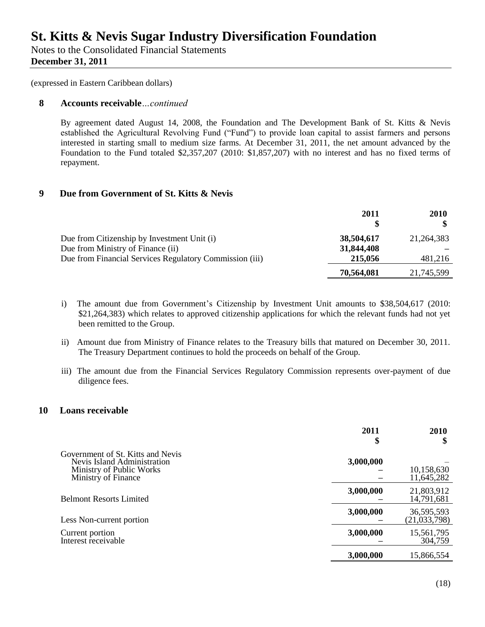Notes to the Consolidated Financial Statements **December 31, 2011**

(expressed in Eastern Caribbean dollars)

#### **8 Accounts receivable***…continued*

By agreement dated August 14, 2008, the Foundation and The Development Bank of St. Kitts & Nevis established the Agricultural Revolving Fund ("Fund") to provide loan capital to assist farmers and persons interested in starting small to medium size farms. At December 31, 2011, the net amount advanced by the Foundation to the Fund totaled \$2,357,207 (2010: \$1,857,207) with no interest and has no fixed terms of repayment.

### **9 Due from Government of St. Kitts & Nevis**

|                                                         | 2011<br>S  | <b>2010</b>  |
|---------------------------------------------------------|------------|--------------|
| Due from Citizenship by Investment Unit (i)             | 38,504,617 | 21, 264, 383 |
| Due from Ministry of Finance (ii)                       | 31,844,408 |              |
| Due from Financial Services Regulatory Commission (iii) | 215,056    | 481,216      |
|                                                         | 70,564,081 | 21,745,599   |

- i) The amount due from Government's Citizenship by Investment Unit amounts to \$38,504,617 (2010: \$21,264,383) which relates to approved citizenship applications for which the relevant funds had not yet been remitted to the Group.
- ii) Amount due from Ministry of Finance relates to the Treasury bills that matured on December 30, 2011. The Treasury Department continues to hold the proceeds on behalf of the Group.
- iii) The amount due from the Financial Services Regulatory Commission represents over-payment of due diligence fees.

#### **10 Loans receivable**

|                                                                                                                     | 2011<br>\$ | 2010<br>\$                   |
|---------------------------------------------------------------------------------------------------------------------|------------|------------------------------|
| Government of St. Kitts and Nevis<br>Nevis Island Administration<br>Ministry of Public Works<br>Ministry of Finance | 3,000,000  | 10,158,630<br>11,645,282     |
| <b>Belmont Resorts Limited</b>                                                                                      | 3,000,000  | 21,803,912<br>14,791,681     |
| Less Non-current portion                                                                                            | 3,000,000  | 36,595,593<br>(21, 033, 798) |
| Current portion<br>Interest receivable                                                                              | 3,000,000  | 15,561,795<br>304,759        |
|                                                                                                                     | 3,000,000  | 15,866,554                   |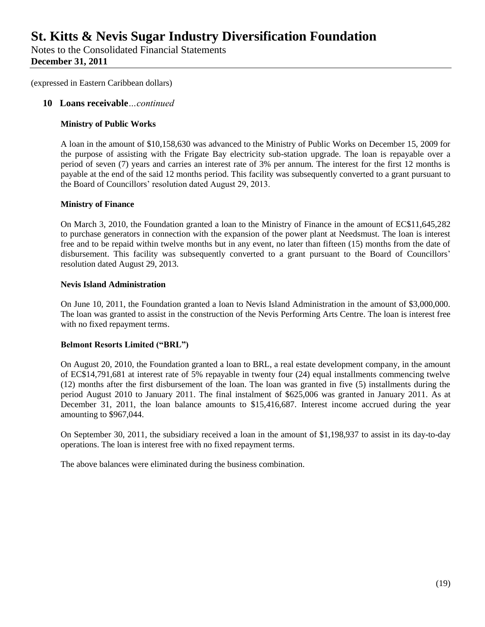Notes to the Consolidated Financial Statements **December 31, 2011**

(expressed in Eastern Caribbean dollars)

#### **10 Loans receivable***…continued*

#### **Ministry of Public Works**

A loan in the amount of \$10,158,630 was advanced to the Ministry of Public Works on December 15, 2009 for the purpose of assisting with the Frigate Bay electricity sub-station upgrade. The loan is repayable over a period of seven (7) years and carries an interest rate of 3% per annum. The interest for the first 12 months is payable at the end of the said 12 months period. This facility was subsequently converted to a grant pursuant to the Board of Councillors' resolution dated August 29, 2013.

#### **Ministry of Finance**

On March 3, 2010, the Foundation granted a loan to the Ministry of Finance in the amount of EC\$11,645,282 to purchase generators in connection with the expansion of the power plant at Needsmust. The loan is interest free and to be repaid within twelve months but in any event, no later than fifteen (15) months from the date of disbursement. This facility was subsequently converted to a grant pursuant to the Board of Councillors' resolution dated August 29, 2013.

#### **Nevis Island Administration**

On June 10, 2011, the Foundation granted a loan to Nevis Island Administration in the amount of \$3,000,000. The loan was granted to assist in the construction of the Nevis Performing Arts Centre. The loan is interest free with no fixed repayment terms.

#### **Belmont Resorts Limited ("BRL")**

On August 20, 2010, the Foundation granted a loan to BRL, a real estate development company, in the amount of EC\$14,791,681 at interest rate of 5% repayable in twenty four (24) equal installments commencing twelve (12) months after the first disbursement of the loan. The loan was granted in five (5) installments during the period August 2010 to January 2011. The final instalment of \$625,006 was granted in January 2011. As at December 31, 2011, the loan balance amounts to \$15,416,687. Interest income accrued during the year amounting to \$967,044.

On September 30, 2011, the subsidiary received a loan in the amount of \$1,198,937 to assist in its day-to-day operations. The loan is interest free with no fixed repayment terms.

The above balances were eliminated during the business combination.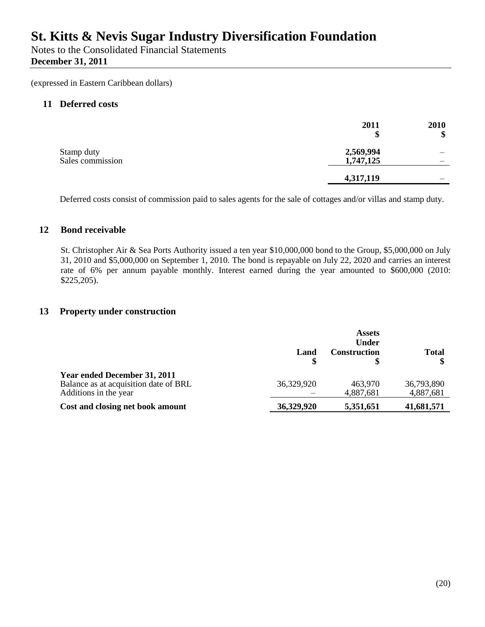Notes to the Consolidated Financial Statements **December 31, 2011**

(expressed in Eastern Caribbean dollars)

#### **11 Deferred costs**

|                                | 2011<br>J              | 2010<br>\$ |
|--------------------------------|------------------------|------------|
| Stamp duty<br>Sales commission | 2,569,994<br>1,747,125 |            |
|                                | 4,317,119              |            |

Deferred costs consist of commission paid to sales agents for the sale of cottages and/or villas and stamp duty.

#### **12 Bond receivable**

St. Christopher Air & Sea Ports Authority issued a ten year \$10,000,000 bond to the Group, \$5,000,000 on July 31, 2010 and \$5,000,000 on September 1, 2010. The bond is repayable on July 22, 2020 and carries an interest rate of 6% per annum payable monthly. Interest earned during the year amounted to \$600,000 (2010: \$225,205).

#### **13 Property under construction**

|                                                                                                | Land       | <b>Assets</b><br>Under<br><b>Construction</b> | <b>Total</b>            |
|------------------------------------------------------------------------------------------------|------------|-----------------------------------------------|-------------------------|
| Year ended December 31, 2011<br>Balance as at acquisition date of BRL<br>Additions in the year | 36,329,920 | 463,970<br>4,887,681                          | 36,793,890<br>4,887,681 |
| Cost and closing net book amount                                                               | 36,329,920 | 5,351,651                                     | 41,681,571              |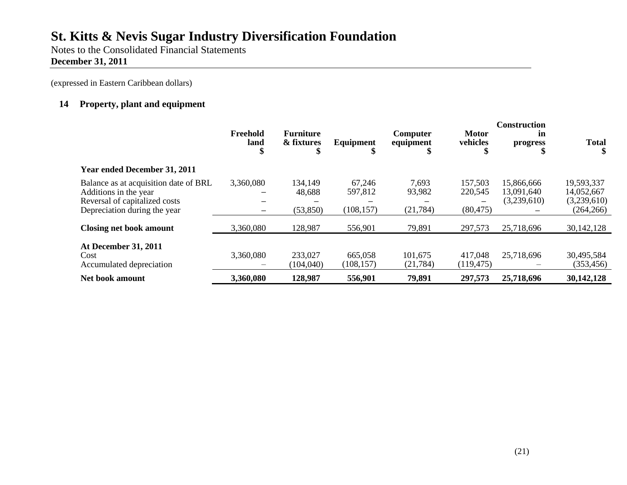Notes to the Consolidated Financial Statements

### **December 31, 2011**

(expressed in Eastern Caribbean dollars)

### **14 Property, plant and equipment**

|                                                                                                                                 |                        |                                |                                 |                              |                                                             | <b>Construction</b>                     |                                                       |
|---------------------------------------------------------------------------------------------------------------------------------|------------------------|--------------------------------|---------------------------------|------------------------------|-------------------------------------------------------------|-----------------------------------------|-------------------------------------------------------|
|                                                                                                                                 | Freehold<br>land<br>\$ | Furniture<br>& fixtures<br>\$  | Equipment<br>D                  | Computer<br>equipment        | <b>Motor</b><br>vehicles                                    | in<br>progress                          | <b>Total</b><br>S                                     |
| Year ended December 31, 2011                                                                                                    |                        |                                |                                 |                              |                                                             |                                         |                                                       |
| Balance as at acquisition date of BRL<br>Additions in the year<br>Reversal of capitalized costs<br>Depreciation during the year | 3,360,080              | 134,149<br>48,688<br>(53, 850) | 67,246<br>597,812<br>(108, 157) | 7,693<br>93,982<br>(21, 784) | 157,503<br>220,545<br>$\overline{\phantom{0}}$<br>(80, 475) | 15,866,666<br>13,091,640<br>(3,239,610) | 19,593,337<br>14,052,667<br>(3,239,610)<br>(264, 266) |
| <b>Closing net book amount</b>                                                                                                  | 3,360,080              | 128,987                        | 556,901                         | 79,891                       | 297,573                                                     | 25,718,696                              | 30, 142, 128                                          |
| <b>At December 31, 2011</b><br>Cost<br>Accumulated depreciation                                                                 | 3,360,080              | 233,027<br>(104,040)           | 665,058<br>(108, 157)           | 101,675<br>(21, 784)         | 417,048<br>(119, 475)                                       | 25,718,696                              | 30,495,584<br>(353, 456)                              |
| Net book amount                                                                                                                 | 3,360,080              | 128,987                        | 556,901                         | 79,891                       | 297,573                                                     | 25,718,696                              | 30,142,128                                            |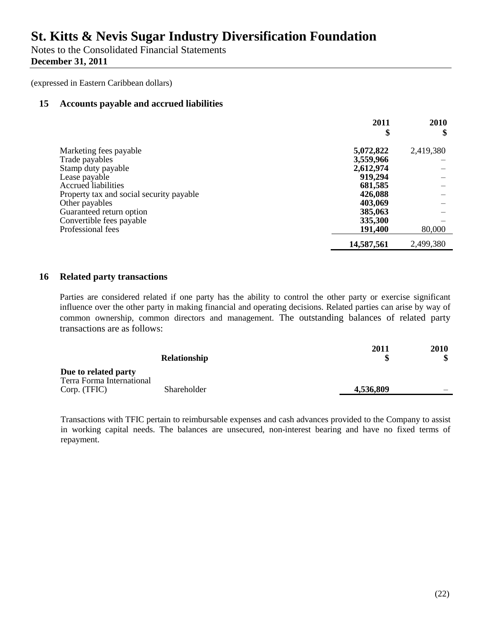Notes to the Consolidated Financial Statements **December 31, 2011**

(expressed in Eastern Caribbean dollars)

### **15 Accounts payable and accrued liabilities**

|                                                                                                                                                                                                                                                          | 2011<br>\$                                                                                                       | 2010<br>\$          |
|----------------------------------------------------------------------------------------------------------------------------------------------------------------------------------------------------------------------------------------------------------|------------------------------------------------------------------------------------------------------------------|---------------------|
| Marketing fees payable<br>Trade payables<br>Stamp duty payable<br>Lease payable<br><b>Accrued liabilities</b><br>Property tax and social security payable<br>Other payables<br>Guaranteed return option<br>Convertible fees payable<br>Professional fees | 5,072,822<br>3,559,966<br>2,612,974<br>919,294<br>681,585<br>426,088<br>403,069<br>385,063<br>335,300<br>191,400 | 2,419,380<br>80,000 |
|                                                                                                                                                                                                                                                          | 14,587,561                                                                                                       | 2,499,380           |

#### **16 Related party transactions**

Parties are considered related if one party has the ability to control the other party or exercise significant influence over the other party in making financial and operating decisions. Related parties can arise by way of common ownership, common directors and management. The outstanding balances of related party transactions are as follows:

|                                                   | Relationship | 2011<br>S | <b>2010</b> |
|---------------------------------------------------|--------------|-----------|-------------|
| Due to related party<br>Terra Forma International |              |           |             |
| Corp. (TFIC)                                      | Shareholder  | 4,536,809 |             |

Transactions with TFIC pertain to reimbursable expenses and cash advances provided to the Company to assist in working capital needs. The balances are unsecured, non-interest bearing and have no fixed terms of repayment.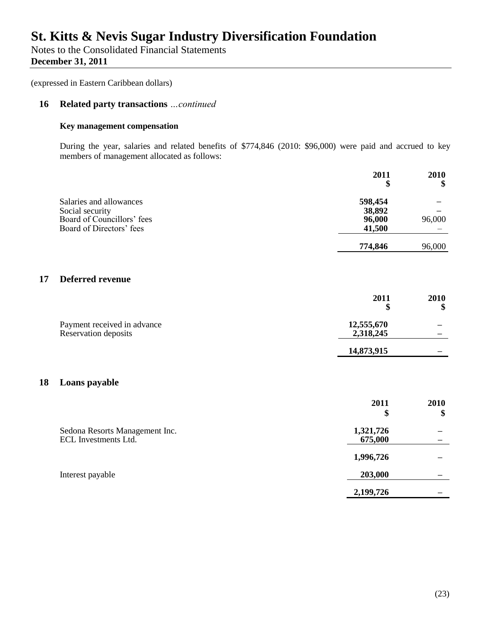Notes to the Consolidated Financial Statements **December 31, 2011**

(expressed in Eastern Caribbean dollars)

**17** 

**18 Loans payable**

### **16 Related party transactions** *…continued*

#### **Key management compensation**

During the year, salaries and related benefits of \$774,846 (2010: \$96,000) were paid and accrued to key members of management allocated as follows:

|                                | 2011<br>\$ | 2010<br>\$ |
|--------------------------------|------------|------------|
| Salaries and allowances        | 598,454    |            |
| Social security                | 38,892     |            |
| Board of Councillors' fees     | 96,000     | 96,000     |
| Board of Directors' fees       | 41,500     |            |
|                                | 774,846    | 96,000     |
| <b>Deferred revenue</b>        |            |            |
|                                |            |            |
|                                | 2011<br>\$ | 2010<br>\$ |
| Payment received in advance    | 12,555,670 |            |
| Reservation deposits           | 2,318,245  |            |
|                                | 14,873,915 |            |
|                                |            |            |
| Loans payable                  |            |            |
|                                | 2011       | 2010       |
|                                | \$         | \$         |
| Sedona Resorts Management Inc. | 1,321,726  |            |
| ECL Investments Ltd.           | 675,000    |            |
|                                | 1,996,726  |            |
| Interest payable               | 203,000    |            |
|                                | 2,199,726  |            |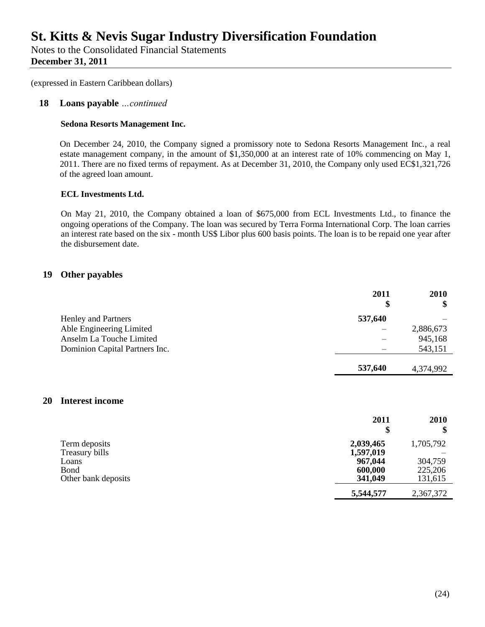Notes to the Consolidated Financial Statements **December 31, 2011**

(expressed in Eastern Caribbean dollars)

#### **18 Loans payable** *…continued*

#### **Sedona Resorts Management Inc.**

On December 24, 2010, the Company signed a promissory note to Sedona Resorts Management Inc., a real estate management company, in the amount of \$1,350,000 at an interest rate of 10% commencing on May 1, 2011. There are no fixed terms of repayment. As at December 31, 2010, the Company only used EC\$1,321,726 of the agreed loan amount.

#### **ECL Investments Ltd.**

On May 21, 2010, the Company obtained a loan of \$675,000 from ECL Investments Ltd., to finance the ongoing operations of the Company. The loan was secured by Terra Forma International Corp. The loan carries an interest rate based on the six - month US\$ Libor plus 600 basis points. The loan is to be repaid one year after the disbursement date.

#### **19 Other payables**

|                                | 2011<br>\$ | 2010<br>\$ |
|--------------------------------|------------|------------|
| Henley and Partners            | 537,640    |            |
| Able Engineering Limited       |            | 2,886,673  |
| Anselm La Touche Limited       |            | 945,168    |
| Dominion Capital Partners Inc. |            | 543,151    |
|                                | 537,640    | 4,374,992  |

#### **20 Interest income**

|                                     | 2011<br>\$           | <b>2010</b><br>\$  |
|-------------------------------------|----------------------|--------------------|
| Term deposits                       | 2,039,465            | 1,705,792          |
| Treasury bills<br>Loans             | 1,597,019<br>967,044 | 304,759            |
| <b>B</b> ond<br>Other bank deposits | 600,000<br>341,049   | 225,206<br>131,615 |
|                                     | 5,544,577            | 2,367,372          |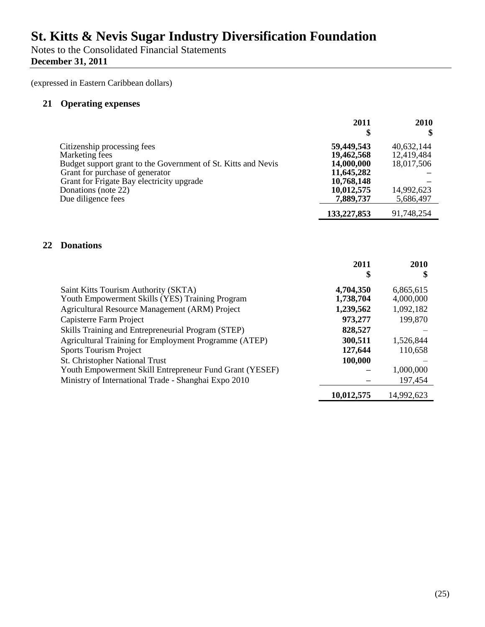Notes to the Consolidated Financial Statements **December 31, 2011**

# (expressed in Eastern Caribbean dollars)

### **21 Operating expenses**

|                                                                                                                                                                                                                                             | 2011<br>\$                                                                                    | 2010                                                              |
|---------------------------------------------------------------------------------------------------------------------------------------------------------------------------------------------------------------------------------------------|-----------------------------------------------------------------------------------------------|-------------------------------------------------------------------|
| Citizenship processing fees<br>Marketing fees<br>Budget support grant to the Government of St. Kitts and Nevis<br>Grant for purchase of generator<br>Grant for Frigate Bay electricity upgrade<br>Donations (note 22)<br>Due diligence fees | 59,449,543<br>19,462,568<br>14,000,000<br>11,645,282<br>10,768,148<br>10,012,575<br>7,889,737 | 40,632,144<br>12,419,484<br>18,017,506<br>14,992,623<br>5,686,497 |
|                                                                                                                                                                                                                                             | 133,227,853                                                                                   | 91,748,254                                                        |

### **22 Donations**

|                                                         | 2011       | 2010       |
|---------------------------------------------------------|------------|------------|
|                                                         | \$         | \$         |
| Saint Kitts Tourism Authority (SKTA)                    | 4,704,350  | 6,865,615  |
| Youth Empowerment Skills (YES) Training Program         | 1,738,704  | 4,000,000  |
| Agricultural Resource Management (ARM) Project          | 1,239,562  | 1,092,182  |
| Capisterre Farm Project                                 | 973,277    | 199,870    |
| Skills Training and Entrepreneurial Program (STEP)      | 828,527    |            |
| Agricultural Training for Employment Programme (ATEP)   | 300,511    | 1,526,844  |
| <b>Sports Tourism Project</b>                           | 127,644    | 110,658    |
| St. Christopher National Trust                          | 100,000    |            |
| Youth Empowerment Skill Entrepreneur Fund Grant (YESEF) |            | 1,000,000  |
| Ministry of International Trade - Shanghai Expo 2010    |            | 197,454    |
|                                                         | 10,012,575 | 14,992,623 |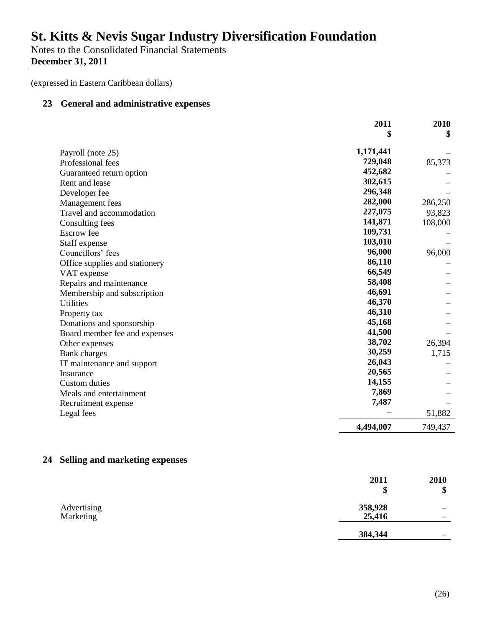Notes to the Consolidated Financial Statements **December 31, 2011**

(expressed in Eastern Caribbean dollars)

### **23 General and administrative expenses**

|                                | 2011<br>\$ | 2010    |
|--------------------------------|------------|---------|
| Payroll (note 25)              | 1,171,441  |         |
| Professional fees              | 729,048    | 85,373  |
| Guaranteed return option       | 452,682    |         |
| Rent and lease                 | 302,615    |         |
| Developer fee                  | 296,348    |         |
| Management fees                | 282,000    | 286,250 |
| Travel and accommodation       | 227,075    | 93,823  |
| Consulting fees                | 141,871    | 108,000 |
| <b>Escrow</b> fee              | 109,731    |         |
| Staff expense                  | 103,010    |         |
| Councillors' fees              | 96,000     | 96,000  |
| Office supplies and stationery | 86,110     |         |
| VAT expense                    | 66,549     |         |
| Repairs and maintenance        | 58,408     |         |
| Membership and subscription    | 46,691     |         |
| <b>Utilities</b>               | 46,370     |         |
| Property tax                   | 46,310     |         |
| Donations and sponsorship      | 45,168     |         |
| Board member fee and expenses  | 41,500     |         |
| Other expenses                 | 38,702     | 26,394  |
| <b>Bank</b> charges            | 30,259     | 1,715   |
| IT maintenance and support     | 26,043     |         |
| Insurance                      | 20,565     |         |
| <b>Custom</b> duties           | 14,155     |         |
| Meals and entertainment        | 7,869      |         |
| Recruitment expense            | 7,487      |         |
| Legal fees                     |            | 51,882  |
|                                | 4,494,007  | 749,437 |

### **24 Selling and marketing expenses**

|                          | 2011<br>\$        | 2010<br>\$                                           |
|--------------------------|-------------------|------------------------------------------------------|
| Advertising<br>Marketing | 358,928<br>25,416 | $\overline{\phantom{0}}$<br>$\overline{\phantom{0}}$ |
|                          | 384,344           |                                                      |